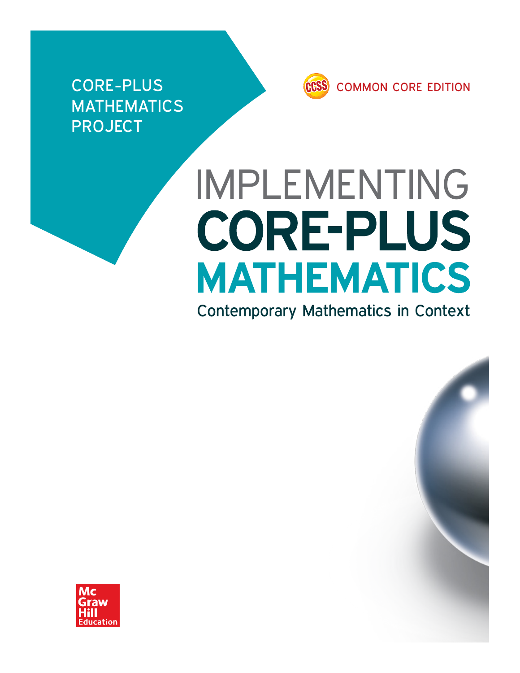**MATHEMATICS PROJECT** 



# IMPLEMENTING **CORE-PLUS MATHEMATICS**

Contemporary Mathematics in Context

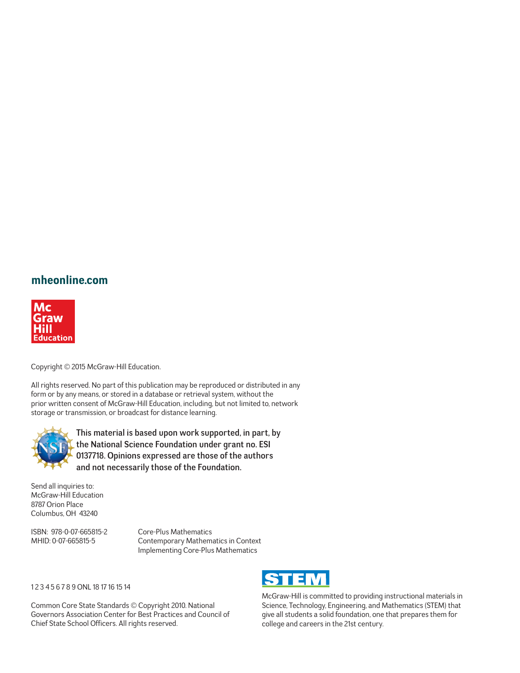#### **mheonline.com**



Copyright © 2015 McGraw-Hill Education.

All rights reserved. No part of this publication may be reproduced or distributed in any form or by any means, or stored in a database or retrieval system, without the prior written consent of McGraw-Hill Education, including, but not limited to, network storage or transmission, or broadcast for distance learning.



This material is based upon work supported, in part, by the National Science Foundation under grant no. ESI 0137718. Opinions expressed are those of the authors and not necessarily those of the Foundation.

Send all inquiries to: McGraw-Hill Education 8787 Orion Place Columbus, OH 43240

ISBN: 978-0-07-665815-2 Core-Plus Mathematics

MHID: 0-07-665815-5 Contemporary Mathematics in Context Implementing Core-Plus Mathematics

#### 1 2 3 4 5 6 7 8 9 ONL 18 17 16 15 14

Common Core State Standards © Copyright 2010. National Governors Association Center for Best Practices and Council of Chief State School Officers. All rights reserved.



McGraw-Hill is committed to providing instructional materials in Science, Technology, Engineering, and Mathematics (STEM) that give all students a solid foundation, one that prepares them for college and careers in the 21st century.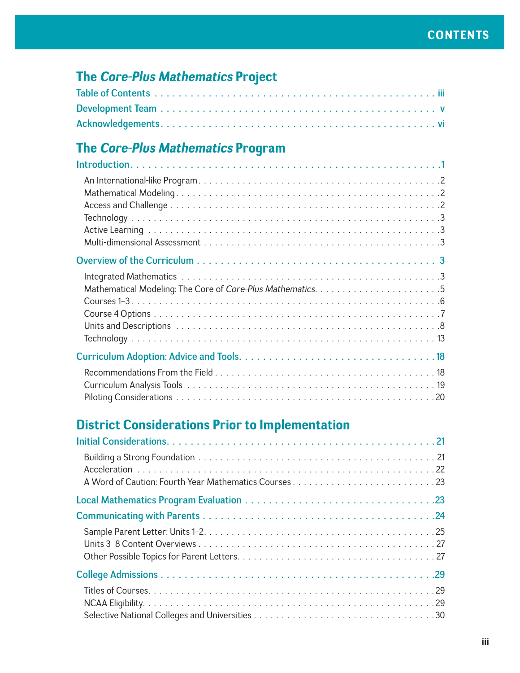#### **The** *Core-Plus Mathematics* **Project**

#### **The** *Core-Plus Mathematics* **Program**

## **District Considerations Prior to Implementation**